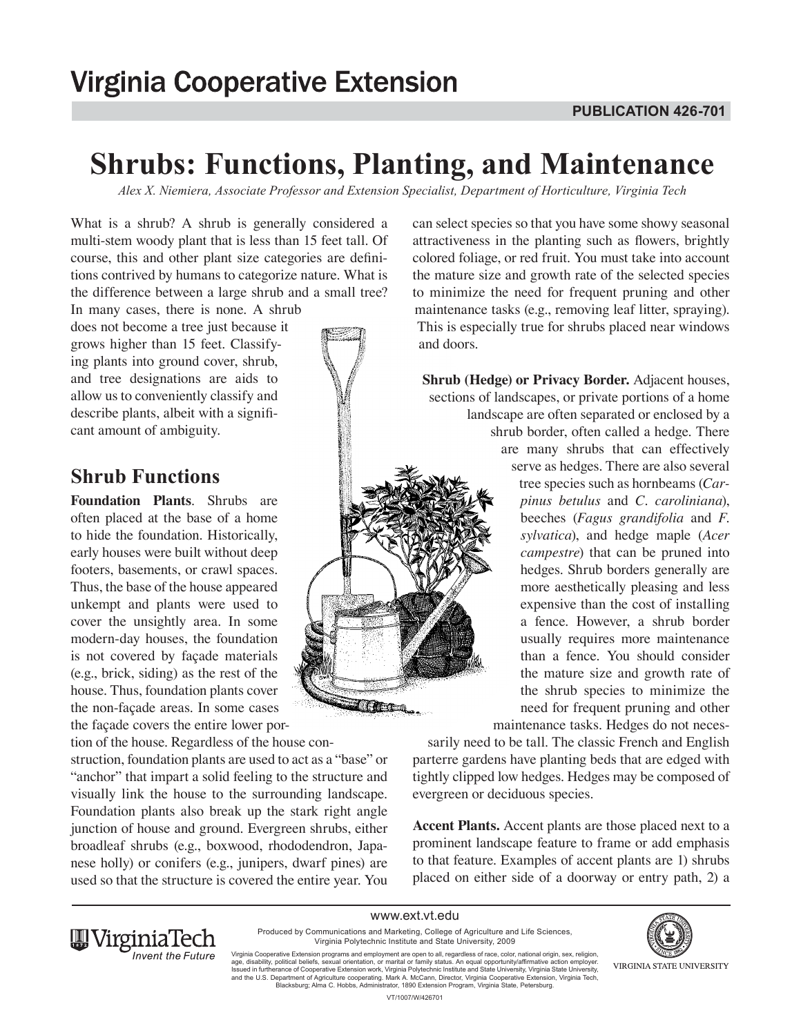# **Shrubs: Functions, Planting, and Maintenance**

*Alex X. Niemiera, Associate Professor and Extension Specialist, Department of Horticulture, Virginia Tech*

What is a shrub? A shrub is generally considered a multi-stem woody plant that is less than 15 feet tall. Of course, this and other plant size categories are definitions contrived by humans to categorize nature. What is the difference between a large shrub and a small tree?

In many cases, there is none. A shrub does not become a tree just because it grows higher than 15 feet. Classifying plants into ground cover, shrub, and tree designations are aids to allow us to conveniently classify and describe plants, albeit with a significant amount of ambiguity.

### **Shrub Functions**

**Foundation Plants**. Shrubs are often placed at the base of a home to hide the foundation. Historically, early houses were built without deep footers, basements, or crawl spaces. Thus, the base of the house appeared unkempt and plants were used to cover the unsightly area. In some modern-day houses, the foundation is not covered by façade materials (e.g., brick, siding) as the rest of the house. Thus, foundation plants cover the non-façade areas. In some cases the façade covers the entire lower por-

tion of the house. Regardless of the house construction, foundation plants are used to act as a "base" or "anchor" that impart a solid feeling to the structure and visually link the house to the surrounding landscape. Foundation plants also break up the stark right angle junction of house and ground. Evergreen shrubs, either broadleaf shrubs (e.g., boxwood, rhododendron, Japanese holly) or conifers (e.g., junipers, dwarf pines) are used so that the structure is covered the entire year. You

can select species so that you have some showy seasonal attractiveness in the planting such as flowers, brightly colored foliage, or red fruit. You must take into account the mature size and growth rate of the selected species to minimize the need for frequent pruning and other maintenance tasks (e.g., removing leaf litter, spraying). This is especially true for shrubs placed near windows and doors.

**Shrub (Hedge) or Privacy Border.** Adjacent houses, sections of landscapes, or private portions of a home landscape are often separated or enclosed by a shrub border, often called a hedge. There are many shrubs that can effectively serve as hedges. There are also several tree species such as hornbeams (*Carpinus betulus* and *C. caroliniana*), beeches (*Fagus grandifolia* and *F. sylvatica*), and hedge maple (*Acer campestre*) that can be pruned into hedges. Shrub borders generally are more aesthetically pleasing and less expensive than the cost of installing a fence. However, a shrub border usually requires more maintenance than a fence. You should consider the mature size and growth rate of the shrub species to minimize the need for frequent pruning and other maintenance tasks. Hedges do not neces-

sarily need to be tall. The classic French and English parterre gardens have planting beds that are edged with tightly clipped low hedges. Hedges may be composed of evergreen or deciduous species.

**Accent Plants.** Accent plants are those placed next to a prominent landscape feature to frame or add emphasis to that feature. Examples of accent plants are 1) shrubs placed on either side of a doorway or entry path, 2) a

www.ext.vt.edu Produced by Communications and Marketing, College of Agriculture and Life Sciences, Virginia Polytechnic Institute and State University, 2009

**Time**n



Virginia Cooperative Extension programs and employment are open to all, regardless of race, color, national origin, sex, religion,<br>age, disability, political beliefs, sexual orientation, or marital or family status. An equ and the U.S. Department of Agriculture cooperating. Mark A. McCann, Director, Virginia Cooperative Extension, Virginia Tech, Blacksburg; Alma C. Hobbs, Administrator, 1890 Extension Program, Virginia State, Petersburg.

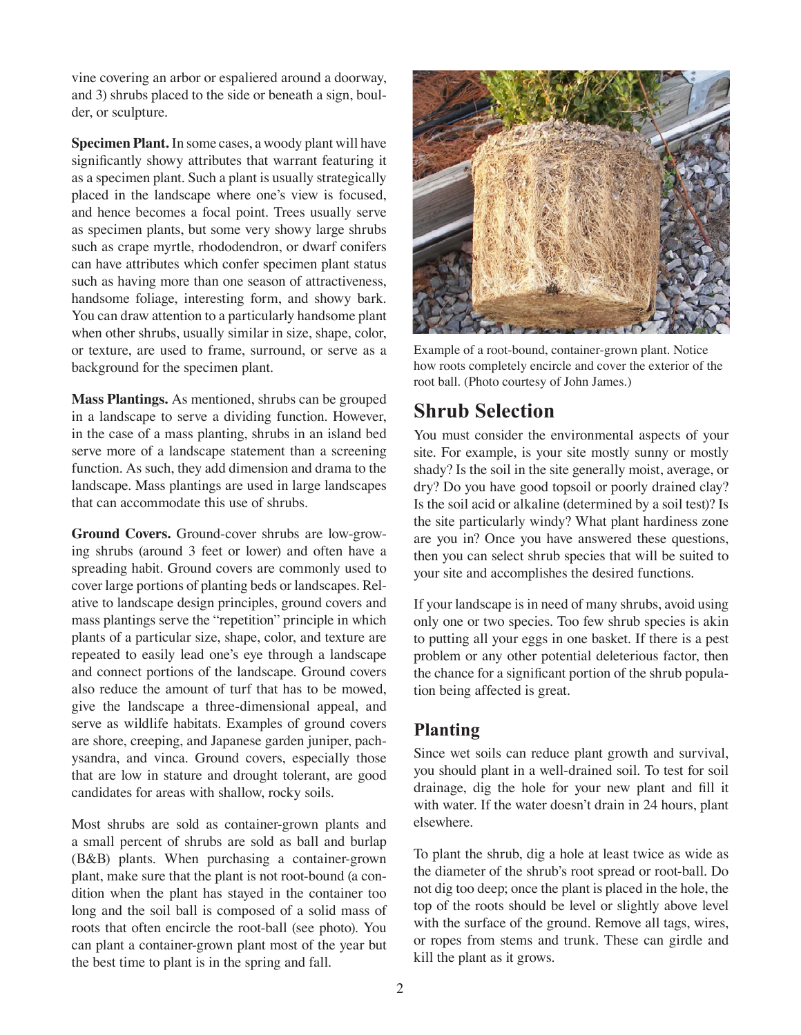vine covering an arbor or espaliered around a doorway, and 3) shrubs placed to the side or beneath a sign, boulder, or sculpture.

**Specimen Plant.** In some cases, a woody plant will have significantly showy attributes that warrant featuring it as a specimen plant. Such a plant is usually strategically placed in the landscape where one's view is focused, and hence becomes a focal point. Trees usually serve as specimen plants, but some very showy large shrubs such as crape myrtle, rhododendron, or dwarf conifers can have attributes which confer specimen plant status such as having more than one season of attractiveness, handsome foliage, interesting form, and showy bark. You can draw attention to a particularly handsome plant when other shrubs, usually similar in size, shape, color, or texture, are used to frame, surround, or serve as a background for the specimen plant.

**Mass Plantings.** As mentioned, shrubs can be grouped in a landscape to serve a dividing function. However, in the case of a mass planting, shrubs in an island bed serve more of a landscape statement than a screening function. As such, they add dimension and drama to the landscape. Mass plantings are used in large landscapes that can accommodate this use of shrubs.

**Ground Covers.** Ground-cover shrubs are low-growing shrubs (around 3 feet or lower) and often have a spreading habit. Ground covers are commonly used to cover large portions of planting beds or landscapes. Relative to landscape design principles, ground covers and mass plantings serve the "repetition" principle in which plants of a particular size, shape, color, and texture are repeated to easily lead one's eye through a landscape and connect portions of the landscape. Ground covers also reduce the amount of turf that has to be mowed, give the landscape a three-dimensional appeal, and serve as wildlife habitats. Examples of ground covers are shore, creeping, and Japanese garden juniper, pachysandra, and vinca. Ground covers, especially those that are low in stature and drought tolerant, are good candidates for areas with shallow, rocky soils.

Most shrubs are sold as container-grown plants and a small percent of shrubs are sold as ball and burlap (B&B) plants. When purchasing a container-grown plant, make sure that the plant is not root-bound (a condition when the plant has stayed in the container too long and the soil ball is composed of a solid mass of roots that often encircle the root-ball (see photo). You can plant a container-grown plant most of the year but the best time to plant is in the spring and fall.



Example of a root-bound, container-grown plant. Notice how roots completely encircle and cover the exterior of the root ball. (Photo courtesy of John James.)

# **Shrub Selection**

You must consider the environmental aspects of your site. For example, is your site mostly sunny or mostly shady? Is the soil in the site generally moist, average, or dry? Do you have good topsoil or poorly drained clay? Is the soil acid or alkaline (determined by a soil test)? Is the site particularly windy? What plant hardiness zone are you in? Once you have answered these questions, then you can select shrub species that will be suited to your site and accomplishes the desired functions.

If your landscape is in need of many shrubs, avoid using only one or two species. Too few shrub species is akin to putting all your eggs in one basket. If there is a pest problem or any other potential deleterious factor, then the chance for a significant portion of the shrub population being affected is great.

#### **Planting**

Since wet soils can reduce plant growth and survival, you should plant in a well-drained soil. To test for soil drainage, dig the hole for your new plant and fill it with water. If the water doesn't drain in 24 hours, plant elsewhere.

To plant the shrub, dig a hole at least twice as wide as the diameter of the shrub's root spread or root-ball. Do not dig too deep; once the plant is placed in the hole, the top of the roots should be level or slightly above level with the surface of the ground. Remove all tags, wires, or ropes from stems and trunk. These can girdle and kill the plant as it grows.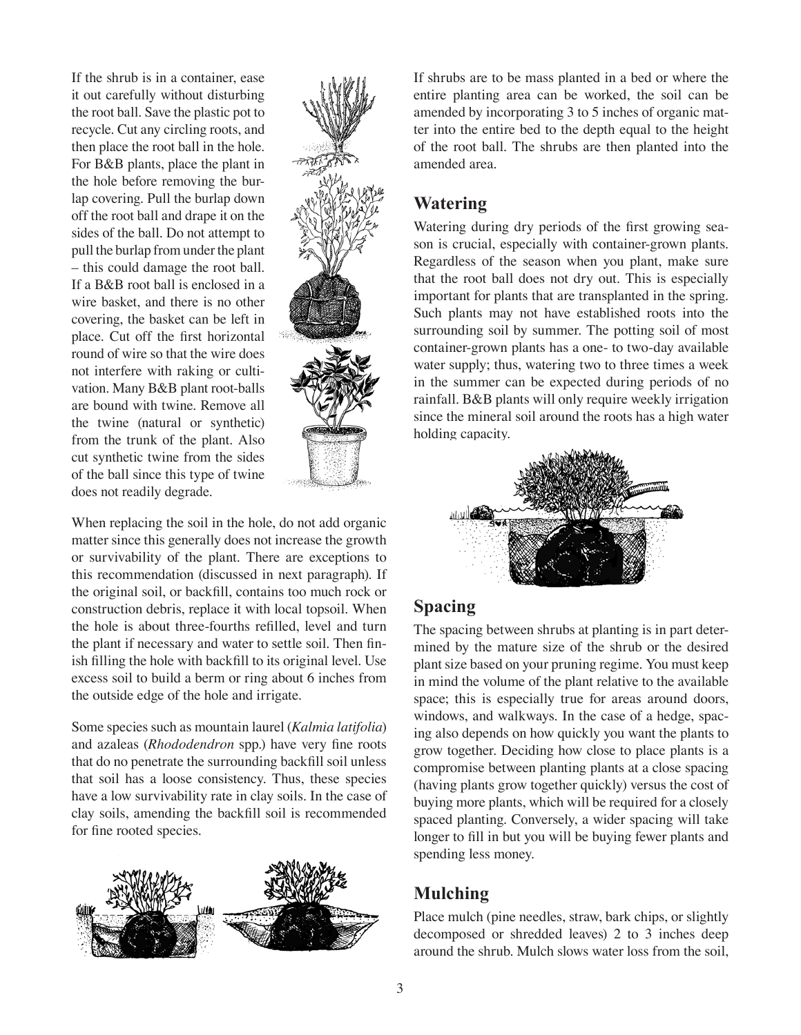If the shrub is in a container, ease it out carefully without disturbing the root ball. Save the plastic pot to recycle. Cut any circling roots, and then place the root ball in the hole. For B&B plants, place the plant in the hole before removing the burlap covering. Pull the burlap down off the root ball and drape it on the sides of the ball. Do not attempt to pull the burlap from under the plant – this could damage the root ball. If a B&B root ball is enclosed in a wire basket, and there is no other covering, the basket can be left in place. Cut off the first horizontal round of wire so that the wire does not interfere with raking or cultivation. Many B&B plant root-balls are bound with twine. Remove all the twine (natural or synthetic) from the trunk of the plant. Also cut synthetic twine from the sides of the ball since this type of twine does not readily degrade.



When replacing the soil in the hole, do not add organic matter since this generally does not increase the growth or survivability of the plant. There are exceptions to this recommendation (discussed in next paragraph). If the original soil, or backfill, contains too much rock or construction debris, replace it with local topsoil. When the hole is about three-fourths refilled, level and turn the plant if necessary and water to settle soil. Then finish filling the hole with backfill to its original level. Use excess soil to build a berm or ring about 6 inches from the outside edge of the hole and irrigate.

Some species such as mountain laurel (*Kalmia latifolia*) and azaleas (*Rhododendron* spp.) have very fine roots that do no penetrate the surrounding backfill soil unless that soil has a loose consistency. Thus, these species have a low survivability rate in clay soils. In the case of clay soils, amending the backfill soil is recommended for fine rooted species.



If shrubs are to be mass planted in a bed or where the entire planting area can be worked, the soil can be amended by incorporating 3 to 5 inches of organic matter into the entire bed to the depth equal to the height of the root ball. The shrubs are then planted into the amended area.

#### **Watering**

Watering during dry periods of the first growing season is crucial, especially with container-grown plants. Regardless of the season when you plant, make sure that the root ball does not dry out. This is especially important for plants that are transplanted in the spring. Such plants may not have established roots into the surrounding soil by summer. The potting soil of most container-grown plants has a one- to two-day available water supply; thus, watering two to three times a week in the summer can be expected during periods of no rainfall. B&B plants will only require weekly irrigation since the mineral soil around the roots has a high water holding capacity.



## **Spacing**

The spacing between shrubs at planting is in part determined by the mature size of the shrub or the desired plant size based on your pruning regime. You must keep in mind the volume of the plant relative to the available space; this is especially true for areas around doors, windows, and walkways. In the case of a hedge, spacing also depends on how quickly you want the plants to grow together. Deciding how close to place plants is a compromise between planting plants at a close spacing (having plants grow together quickly) versus the cost of buying more plants, which will be required for a closely spaced planting. Conversely, a wider spacing will take longer to fill in but you will be buying fewer plants and spending less money.

## **Mulching**

Place mulch (pine needles, straw, bark chips, or slightly decomposed or shredded leaves) 2 to 3 inches deep around the shrub. Mulch slows water loss from the soil,